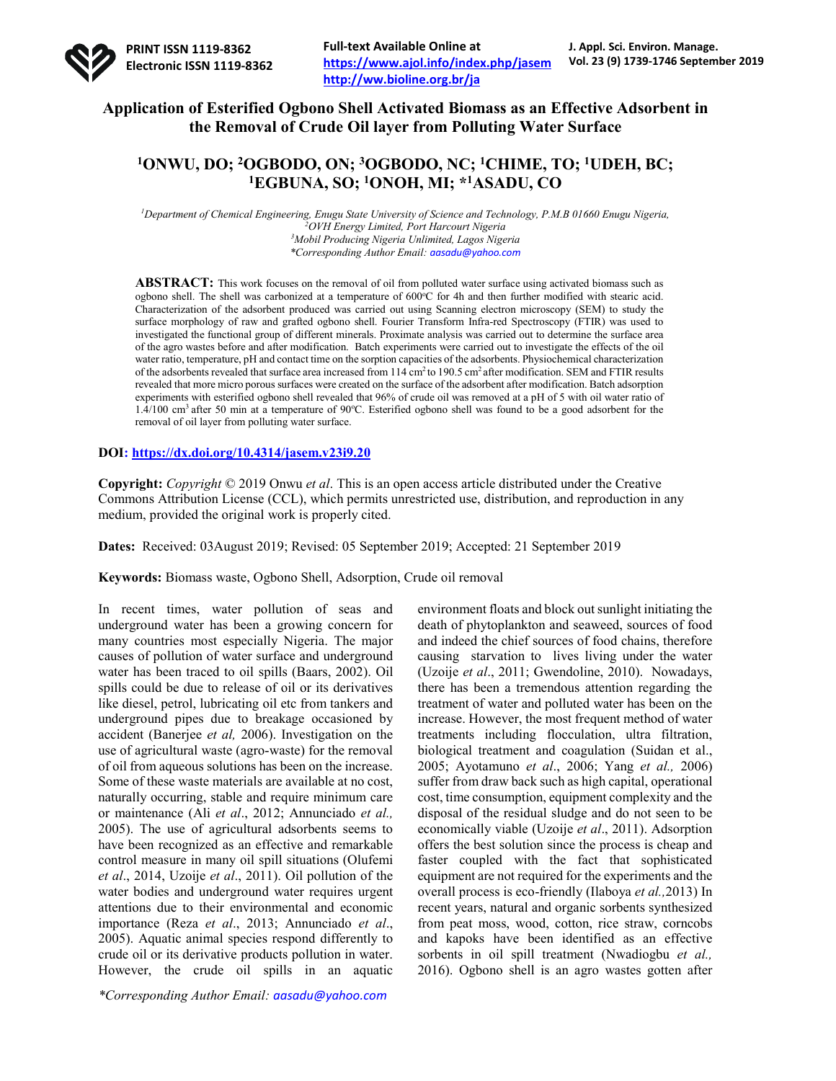

# **Application of Esterified Ogbono Shell Activated Biomass as an Effective Adsorbent in the Removal of Crude Oil layer from Polluting Water Surface**

# **1ONWU, DO; 2OGBODO, ON; 3OGBODO, NC; 1CHIME, TO; 1UDEH, BC; 1EGBUNA, SO; 1ONOH, MI; \*1ASADU, CO**

*1 Department of Chemical Engineering, Enugu State University of Science and Technology, P.M.B 01660 Enugu Nigeria, 2 OVH Energy Limited, Port Harcourt Nigeria 3 Mobil Producing Nigeria Unlimited, Lagos Nigeria \*Corresponding Author Email: aasadu@yahoo.com*

**ABSTRACT:** This work focuses on the removal of oil from polluted water surface using activated biomass such as ogbono shell. The shell was carbonized at a temperature of 600°C for 4h and then further modified with stearic acid. Characterization of the adsorbent produced was carried out using Scanning electron microscopy (SEM) to study the surface morphology of raw and grafted ogbono shell. Fourier Transform Infra-red Spectroscopy (FTIR) was used to investigated the functional group of different minerals. Proximate analysis was carried out to determine the surface area of the agro wastes before and after modification. Batch experiments were carried out to investigate the effects of the oil water ratio, temperature, pH and contact time on the sorption capacities of the adsorbents. Physiochemical characterization of the adsorbents revealed that surface area increased from 114 cm<sup>2</sup> to 190.5 cm<sup>2</sup> after modification. SEM and FTIR results revealed that more micro porous surfaces were created on the surface of the adsorbent after modification. Batch adsorption experiments with esterified ogbono shell revealed that 96% of crude oil was removed at a pH of 5 with oil water ratio of  $1.4/100$  cm<sup>3</sup> after 50 min at a temperature of 90°C. Esterified ogbono shell was found to be a good adsorbent for the removal of oil layer from polluting water surface.

## **DOI: https://dx.doi.org/10.4314/jasem.v23i9.20**

**Copyright:** *Copyright* © 2019 Onwu *et al*. This is an open access article distributed under the Creative Commons Attribution License (CCL), which permits unrestricted use, distribution, and reproduction in any medium, provided the original work is properly cited.

**Dates:** Received: 03August 2019; Revised: 05 September 2019; Accepted: 21 September 2019

**Keywords:** Biomass waste, Ogbono Shell, Adsorption, Crude oil removal

In recent times, water pollution of seas and underground water has been a growing concern for many countries most especially Nigeria. The major causes of pollution of water surface and underground water has been traced to oil spills (Baars, 2002). Oil spills could be due to release of oil or its derivatives like diesel, petrol, lubricating oil etc from tankers and underground pipes due to breakage occasioned by accident (Banerjee *et al,* 2006). Investigation on the use of agricultural waste (agro-waste) for the removal of oil from aqueous solutions has been on the increase. Some of these waste materials are available at no cost, naturally occurring, stable and require minimum care or maintenance (Ali *et al*., 2012; Annunciado *et al.,* 2005). The use of agricultural adsorbents seems to have been recognized as an effective and remarkable control measure in many oil spill situations (Olufemi *et al*., 2014, Uzoije *et al*., 2011). Oil pollution of the water bodies and underground water requires urgent attentions due to their environmental and economic importance (Reza *et al*., 2013; Annunciado *et al*., 2005). Aquatic animal species respond differently to crude oil or its derivative products pollution in water. However, the crude oil spills in an aquatic

environment floats and block out sunlight initiating the death of phytoplankton and seaweed, sources of food and indeed the chief sources of food chains, therefore causing starvation to lives living under the water (Uzoije *et al*., 2011; Gwendoline, 2010). Nowadays, there has been a tremendous attention regarding the treatment of water and polluted water has been on the increase. However, the most frequent method of water treatments including flocculation, ultra filtration, biological treatment and coagulation (Suidan et al., 2005; Ayotamuno *et al*., 2006; Yang *et al.,* 2006) suffer from draw back such as high capital, operational cost, time consumption, equipment complexity and the disposal of the residual sludge and do not seen to be economically viable (Uzoije *et al*., 2011). Adsorption offers the best solution since the process is cheap and faster coupled with the fact that sophisticated equipment are not required for the experiments and the overall process is eco-friendly (Ilaboya *et al.,*2013) In recent years, natural and organic sorbents synthesized from peat moss, wood, cotton, rice straw, corncobs and kapoks have been identified as an effective sorbents in oil spill treatment (Nwadiogbu *et al.,* 2016). Ogbono shell is an agro wastes gotten after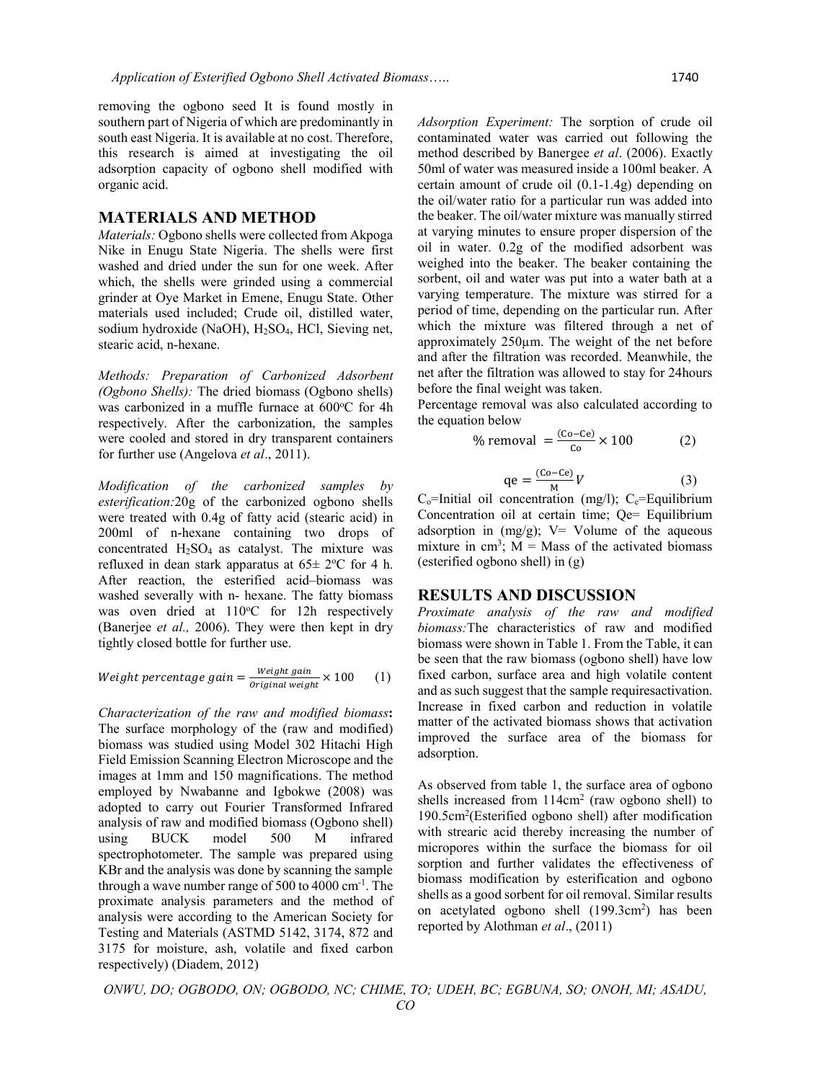removing the ogbono seed It is found mostly in southern part of Nigeria of which are predominantly in south east Nigeria. It is available at no cost. Therefore, this research is aimed at investigating the oil adsorption capacity of ogbono shell modified with organic acid.

### **MATERIALS AND METHOD**

*Materials:* Ogbono shells were collected from Akpoga Nike in Enugu State Nigeria. The shells were first washed and dried under the sun for one week. After which, the shells were grinded using a commercial grinder at Oye Market in Emene, Enugu State. Other materials used included; Crude oil, distilled water, sodium hydroxide (NaOH), H2SO4, HCl, Sieving net, stearic acid, n-hexane.

*Methods: Preparation of Carbonized Adsorbent (Ogbono Shells):* The dried biomass (Ogbono shells) was carbonized in a muffle furnace at 600°C for 4h respectively. After the carbonization, the samples were cooled and stored in dry transparent containers for further use (Angelova *et al*., 2011).

*Modification of the carbonized samples by esterification:*20g of the carbonized ogbono shells were treated with 0.4g of fatty acid (stearic acid) in 200ml of n-hexane containing two drops of concentrated H2SO4 as catalyst. The mixture was refluxed in dean stark apparatus at  $65 \pm 2$ °C for 4 h. After reaction, the esterified acid–biomass was washed severally with n- hexane. The fatty biomass was oven dried at 110°C for 12h respectively (Banerjee *et al.,* 2006). They were then kept in dry tightly closed bottle for further use.

$$
Weight\ percentage\ gain = \frac{Weight\ gain}{original\ weight} \times 100 \qquad (1)
$$

*Characterization of the raw and modified biomass***:**  The surface morphology of the (raw and modified) biomass was studied using Model 302 Hitachi High Field Emission Scanning Electron Microscope and the images at 1mm and 150 magnifications. The method employed by Nwabanne and Igbokwe (2008) was adopted to carry out Fourier Transformed Infrared analysis of raw and modified biomass (Ogbono shell) using BUCK model 500 M infrared spectrophotometer. The sample was prepared using KBr and the analysis was done by scanning the sample through a wave number range of 500 to 4000 cm-1 . The proximate analysis parameters and the method of analysis were according to the American Society for Testing and Materials (ASTMD 5142, 3174, 872 and 3175 for moisture, ash, volatile and fixed carbon respectively) (Diadem, 2012)

*Adsorption Experiment:* The sorption of crude oil contaminated water was carried out following the method described by Banergee *et al*. (2006). Exactly 50ml of water was measured inside a 100ml beaker. A certain amount of crude oil (0.1-1.4g) depending on the oil/water ratio for a particular run was added into the beaker. The oil/water mixture was manually stirred at varying minutes to ensure proper dispersion of the oil in water. 0.2g of the modified adsorbent was weighed into the beaker. The beaker containing the sorbent, oil and water was put into a water bath at a varying temperature. The mixture was stirred for a period of time, depending on the particular run. After which the mixture was filtered through a net of approximately 250µm. The weight of the net before and after the filtration was recorded. Meanwhile, the net after the filtration was allowed to stay for 24hours before the final weight was taken.

Percentage removal was also calculated according to the equation below

% removal = 
$$
\frac{(\text{Co} - \text{Ce})}{\text{Co}} \times 100
$$
 (2)

$$
qe = \frac{(Co - Ce)}{M}V\tag{3}
$$

 $C_0$ =Initial oil concentration (mg/l);  $C_e$ =Equilibrium Concentration oil at certain time; Qe= Equilibrium adsorption in  $(mg/g)$ ; V= Volume of the aqueous mixture in  $\text{cm}^3$ ; M = Mass of the activated biomass (esterified ogbono shell) in (g)

#### **RESULTS AND DISCUSSION**

*Proximate analysis of the raw and modified biomass:*The characteristics of raw and modified biomass were shown in Table 1. From the Table, it can be seen that the raw biomass (ogbono shell) have low fixed carbon, surface area and high volatile content and as such suggest that the sample requiresactivation. Increase in fixed carbon and reduction in volatile matter of the activated biomass shows that activation improved the surface area of the biomass for adsorption.

As observed from table 1, the surface area of ogbono shells increased from  $114 \text{cm}^2$  (raw ogbono shell) to 190.5cm2 (Esterified ogbono shell) after modification with strearic acid thereby increasing the number of micropores within the surface the biomass for oil sorption and further validates the effectiveness of biomass modification by esterification and ogbono shells as a good sorbent for oil removal. Similar results on acetylated ogbono shell (199.3cm<sup>2</sup>) has been reported by Alothman *et al*., (2011)

*ONWU, DO; OGBODO, ON; OGBODO, NC; CHIME, TO; UDEH, BC; EGBUNA, SO; ONOH, MI; ASADU,*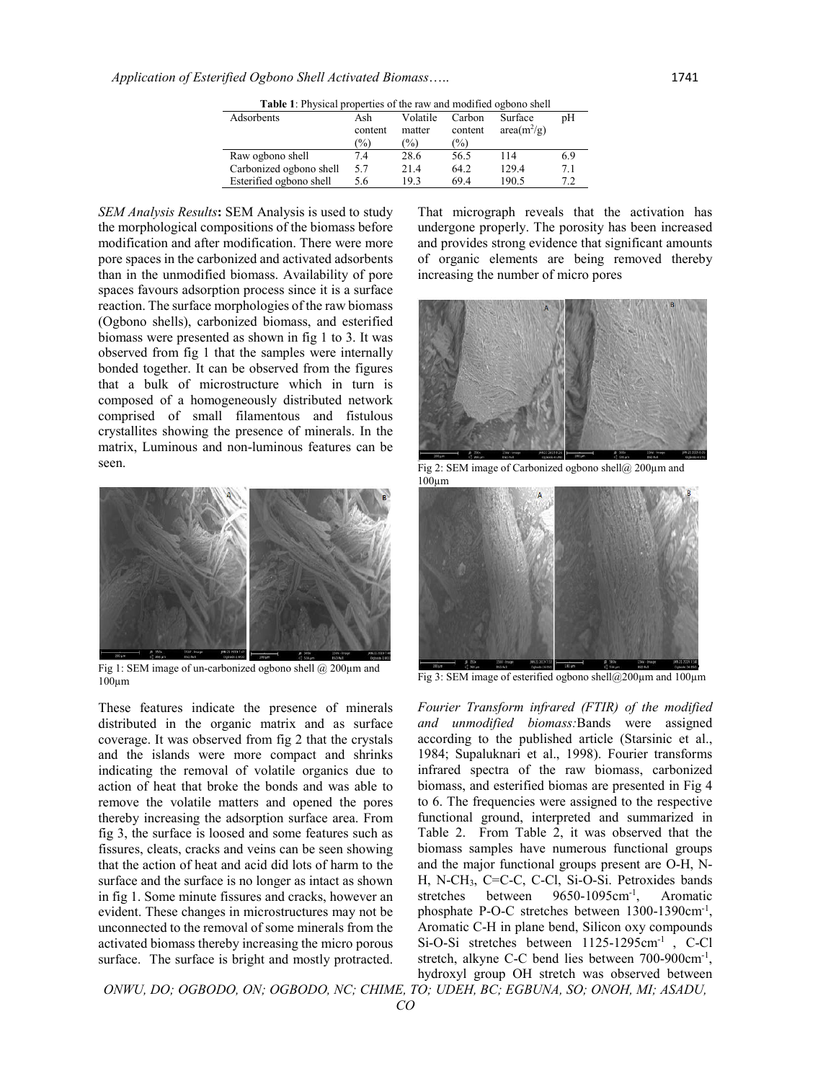| <b>Table 1:</b> Physical properties of the raw and modified ogbono shell |                                 |                            |                          |                          |     |  |  |  |  |
|--------------------------------------------------------------------------|---------------------------------|----------------------------|--------------------------|--------------------------|-----|--|--|--|--|
| Adsorbents                                                               | Ash<br>content<br>$\frac{1}{2}$ | Volatile<br>matter<br>$\%$ | Carbon<br>content<br>(%) | Surface<br>$area(m^2/g)$ | pΗ  |  |  |  |  |
| Raw ogbono shell                                                         | 7.4                             | 28.6                       | 56.5                     | 114                      | 6.9 |  |  |  |  |
| Carbonized ogbono shell                                                  | 5.7                             | 21.4                       | 64.2                     | 129.4                    | 7.1 |  |  |  |  |
| Esterified ogbono shell                                                  | 5.6                             | 19.3                       | 69.4                     | 190.5                    | 7.2 |  |  |  |  |

*SEM Analysis Results***:** SEM Analysis is used to study the morphological compositions of the biomass before modification and after modification. There were more pore spaces in the carbonized and activated adsorbents than in the unmodified biomass. Availability of pore spaces favours adsorption process since it is a surface reaction. The surface morphologies of the raw biomass (Ogbono shells), carbonized biomass, and esterified biomass were presented as shown in fig 1 to 3. It was observed from fig 1 that the samples were internally bonded together. It can be observed from the figures that a bulk of microstructure which in turn is composed of a homogeneously distributed network comprised of small filamentous and fistulous crystallites showing the presence of minerals. In the matrix, Luminous and non-luminous features can be seen.



Fig 1: SEM image of un-carbonized ogbono shell @ 200µm and  $100 \mu m$ 

These features indicate the presence of minerals distributed in the organic matrix and as surface coverage. It was observed from fig 2 that the crystals and the islands were more compact and shrinks indicating the removal of volatile organics due to action of heat that broke the bonds and was able to remove the volatile matters and opened the pores thereby increasing the adsorption surface area. From fig 3, the surface is loosed and some features such as fissures, cleats, cracks and veins can be seen showing that the action of heat and acid did lots of harm to the surface and the surface is no longer as intact as shown in fig 1. Some minute fissures and cracks, however an evident. These changes in microstructures may not be unconnected to the removal of some minerals from the activated biomass thereby increasing the micro porous surface. The surface is bright and mostly protracted.

*ONWU, DO; OGBODO, ON; OGBODO, NC; CHIME, TO; UDEH, BC; EGBUNA, SO; ONOH, MI; ASADU,* 

That micrograph reveals that the activation has undergone properly. The porosity has been increased and provides strong evidence that significant amounts of organic elements are being removed thereby increasing the number of micro pores



Fig 2: SEM image of Carbonized ogbono shell@ 200 $\mu$ m and  $100 \mu m$ 



Fig 3: SEM image of esterified ogbono shell@200µm and 100µm

*Fourier Transform infrared (FTIR) of the modified and unmodified biomass:*Bands were assigned according to the published article (Starsinic et al., 1984; Supaluknari et al., 1998). Fourier transforms infrared spectra of the raw biomass, carbonized biomass, and esterified biomas are presented in Fig 4 to 6. The frequencies were assigned to the respective functional ground, interpreted and summarized in Table 2. From Table 2, it was observed that the biomass samples have numerous functional groups and the major functional groups present are O-H, N-H, N-CH3, C=C-C, C-Cl, Si-O-Si. Petroxides bands stretches between 9650-1095cm<sup>-1</sup>, , Aromatic phosphate P-O-C stretches between 1300-1390cm<sup>-1</sup>, Aromatic C-H in plane bend, Silicon oxy compounds Si-O-Si stretches between 1125-1295cm<sup>-1</sup>, C-Cl stretch, alkyne C-C bend lies between 700-900cm-1 , hydroxyl group OH stretch was observed between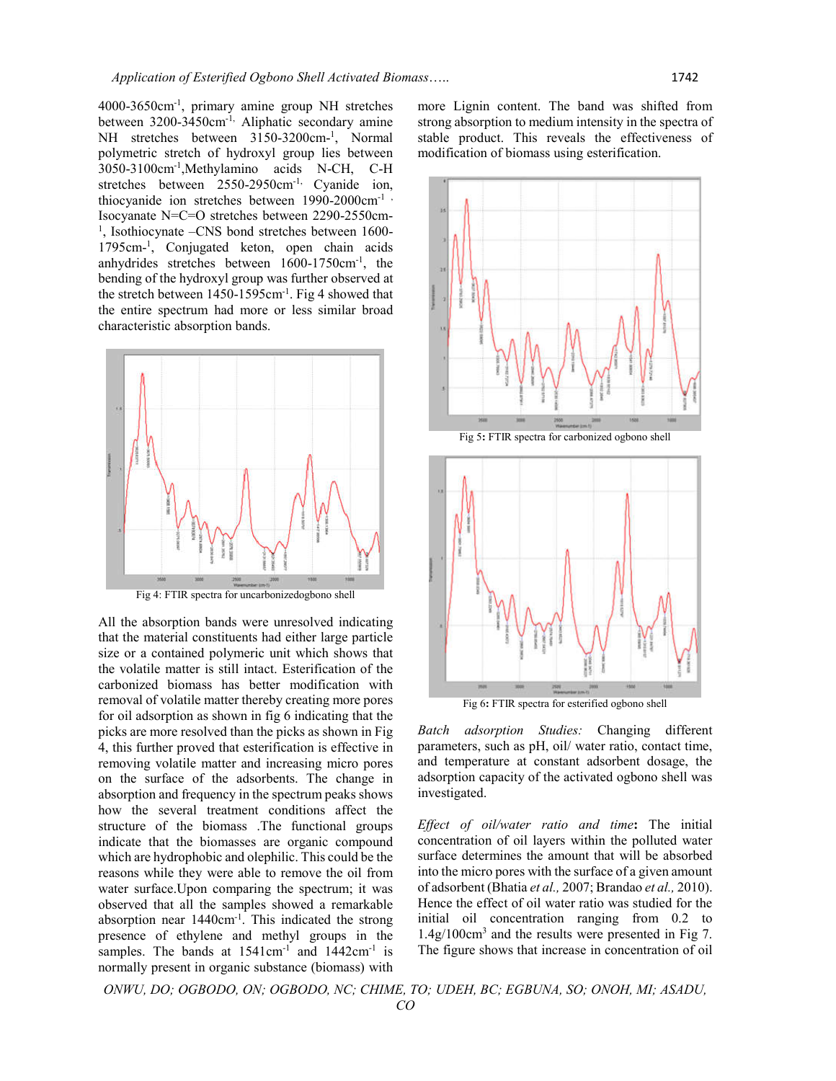4000-3650cm-1 , primary amine group NH stretches between 3200-3450cm-1, Aliphatic secondary amine NH stretches between 3150-3200cm-<sup>1</sup>, Normal polymetric stretch of hydroxyl group lies between 3050-3100cm-1 ,Methylamino acids N-CH, C-H stretches between 2550-2950cm<sup>-1,</sup> Cyanide ion, thiocyanide ion stretches between 1990-2000cm<sup>-1</sup>, Isocyanate N=C=O stretches between 2290-2550cm- <sup>1</sup>, Isothiocynate -CNS bond stretches between 1600-1795cm-1 , Conjugated keton, open chain acids anhydrides stretches between 1600-1750cm-1 , the bending of the hydroxyl group was further observed at the stretch between 1450-1595cm-1 . Fig 4 showed that the entire spectrum had more or less similar broad characteristic absorption bands.



Fig 4: FTIR spectra for uncarbonizedogbono shell

All the absorption bands were unresolved indicating that the material constituents had either large particle size or a contained polymeric unit which shows that the volatile matter is still intact. Esterification of the carbonized biomass has better modification with removal of volatile matter thereby creating more pores for oil adsorption as shown in fig 6 indicating that the picks are more resolved than the picks as shown in Fig 4, this further proved that esterification is effective in removing volatile matter and increasing micro pores on the surface of the adsorbents. The change in absorption and frequency in the spectrum peaks shows how the several treatment conditions affect the structure of the biomass .The functional groups indicate that the biomasses are organic compound which are hydrophobic and olephilic. This could be the reasons while they were able to remove the oil from water surface.Upon comparing the spectrum; it was observed that all the samples showed a remarkable absorption near 1440cm<sup>-1</sup>. This indicated the strong presence of ethylene and methyl groups in the samples. The bands at 1541cm<sup>-1</sup> and 1442cm<sup>-1</sup> is normally present in organic substance (biomass) with

more Lignin content. The band was shifted from strong absorption to medium intensity in the spectra of stable product. This reveals the effectiveness of modification of biomass using esterification.







Fig 6**:** FTIR spectra for esterified ogbono shell

*Batch adsorption Studies:* Changing different parameters, such as pH, oil/ water ratio, contact time, and temperature at constant adsorbent dosage, the adsorption capacity of the activated ogbono shell was investigated.

*Effect of oil/water ratio and time***:** The initial concentration of oil layers within the polluted water surface determines the amount that will be absorbed into the micro pores with the surface of a given amount of adsorbent (Bhatia *et al.,* 2007; Brandao *et al.,* 2010). Hence the effect of oil water ratio was studied for the initial oil concentration ranging from 0.2 to 1.4g/100cm3 and the results were presented in Fig 7. The figure shows that increase in concentration of oil

*ONWU, DO; OGBODO, ON; OGBODO, NC; CHIME, TO; UDEH, BC; EGBUNA, SO; ONOH, MI; ASADU, CO*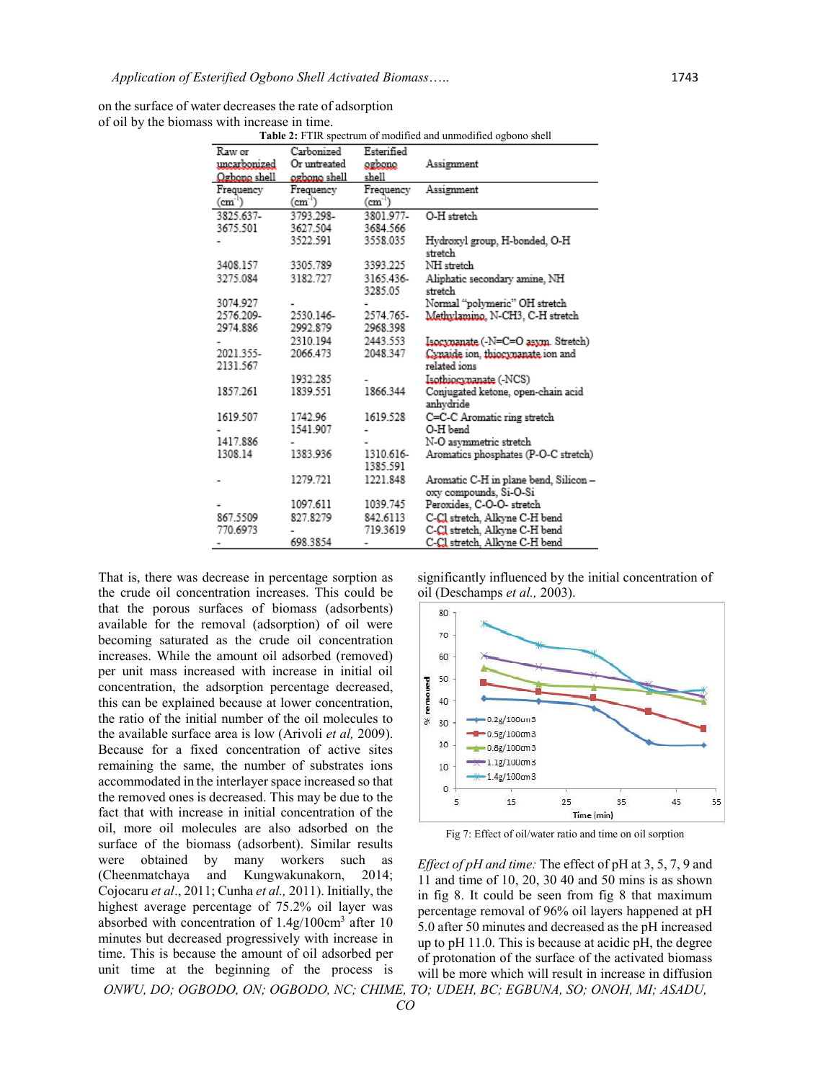| on the surface of water decreases the rate of adsorption |
|----------------------------------------------------------|
| of oil by the biomass with increase in time.             |

**Table 2:** FTIR spectrum of modified and unmodified ogbono shell

| Raw or       | Carbonized   | Esterified            | <b>ROK 2.</b> 1 THE Specifiant of modified and annivalitied of como shell |
|--------------|--------------|-----------------------|---------------------------------------------------------------------------|
| uncarbonized | Or untreated | ogbono                | Assignment                                                                |
| Ogbono shell | ogbono shell | shell                 |                                                                           |
| Frequency    | Frequency    | Frequency             | Assignment                                                                |
| $(cm-1)$     | $(cm-1)$     | $(cm-1)$              |                                                                           |
| 3825.637-    | 3793.298-    | 3801.977-             | O-H stretch                                                               |
| 3675.501     | 3627.504     | 3684.566              |                                                                           |
|              | 3522.591     | 3558.035              | Hydroxyl group, H-bonded, O-H<br>stretch                                  |
| 3408.157     | 3305.789     | 3393.225              | NH stretch                                                                |
| 3275.084     | 3182.727     | 3165.436-<br>3285.05  | Aliphatic secondary amine, NH<br>stretch                                  |
| 3074.927     |              |                       | Normal "polymeric" OH stretch                                             |
| 2576.209-    | 2530.146-    | 2574.765-             | Methylamino, N-CH3, C-H stretch                                           |
| 2974.886     | 2992.879     | 2968.398              |                                                                           |
|              | 2310.194     | 2443.553              | Isocynanate (-N=C=O asym. Stretch)                                        |
| 2021.355-    | 2066.473     | 2048.347              | Cynaide ion, thiocynanate ion and                                         |
| 2131.567     |              |                       | related ions                                                              |
|              | 1932.285     |                       | Isothiocynanate (-NCS)                                                    |
| 1857.261     | 1839.551     | 1866.344              | Conjugated ketone, open-chain acid<br>anhydride                           |
| 1619.507     | 1742.96      | 1619.528              | C=C-C Aromatic ring stretch                                               |
|              | 1541.907     |                       | O-H bend                                                                  |
| 1417.886     |              |                       | N-O asymmetric stretch                                                    |
| 1308.14      | 1383.936     | 1310.616-<br>1385.591 | Aromatics phosphates (P-O-C stretch)                                      |
|              | 1279.721     | 1221.848              | Aromatic C-H in plane bend, Silicon –<br>oxy compounds, Si-O-Si           |
|              | 1097.611     | 1039.745              | Peroxides, C-O-O- stretch                                                 |
| 867.5509     | 827.8279     | 842.6113              | C-Cl stretch, Alkyne C-H bend                                             |
| 770.6973     |              | 719.3619              | C-Cl stretch, Alkyne C-H bend                                             |
|              | 698.3854     |                       | C-Cl stretch, Alkyne C-H bend                                             |

That is, there was decrease in percentage sorption as the crude oil concentration increases. This could be that the porous surfaces of biomass (adsorbents) available for the removal (adsorption) of oil were becoming saturated as the crude oil concentration increases. While the amount oil adsorbed (removed) per unit mass increased with increase in initial oil concentration, the adsorption percentage decreased, this can be explained because at lower concentration, the ratio of the initial number of the oil molecules to the available surface area is low (Arivoli *et al,* 2009). Because for a fixed concentration of active sites remaining the same, the number of substrates ions accommodated in the interlayer space increased so that the removed ones is decreased. This may be due to the fact that with increase in initial concentration of the oil, more oil molecules are also adsorbed on the surface of the biomass (adsorbent). Similar results were obtained by many workers such as (Cheenmatchaya and Kungwakunakorn, 2014; Cojocaru *et al*., 2011; Cunha *et al.,* 2011). Initially, the highest average percentage of 75.2% oil layer was absorbed with concentration of 1.4g/100cm3 after 10 minutes but decreased progressively with increase in time. This is because the amount of oil adsorbed per unit time at the beginning of the process is

significantly influenced by the initial concentration of oil (Deschamps *et al.,* 2003).



Fig 7: Effect of oil/water ratio and time on oil sorption

*ONWU, DO; OGBODO, ON; OGBODO, NC; CHIME, TO; UDEH, BC; EGBUNA, SO; ONOH, MI; ASADU, Effect of pH and time:* The effect of pH at 3, 5, 7, 9 and 11 and time of 10, 20, 30 40 and 50 mins is as shown in fig 8. It could be seen from fig 8 that maximum percentage removal of 96% oil layers happened at pH 5.0 after 50 minutes and decreased as the pH increased up to pH 11.0. This is because at acidic pH, the degree of protonation of the surface of the activated biomass will be more which will result in increase in diffusion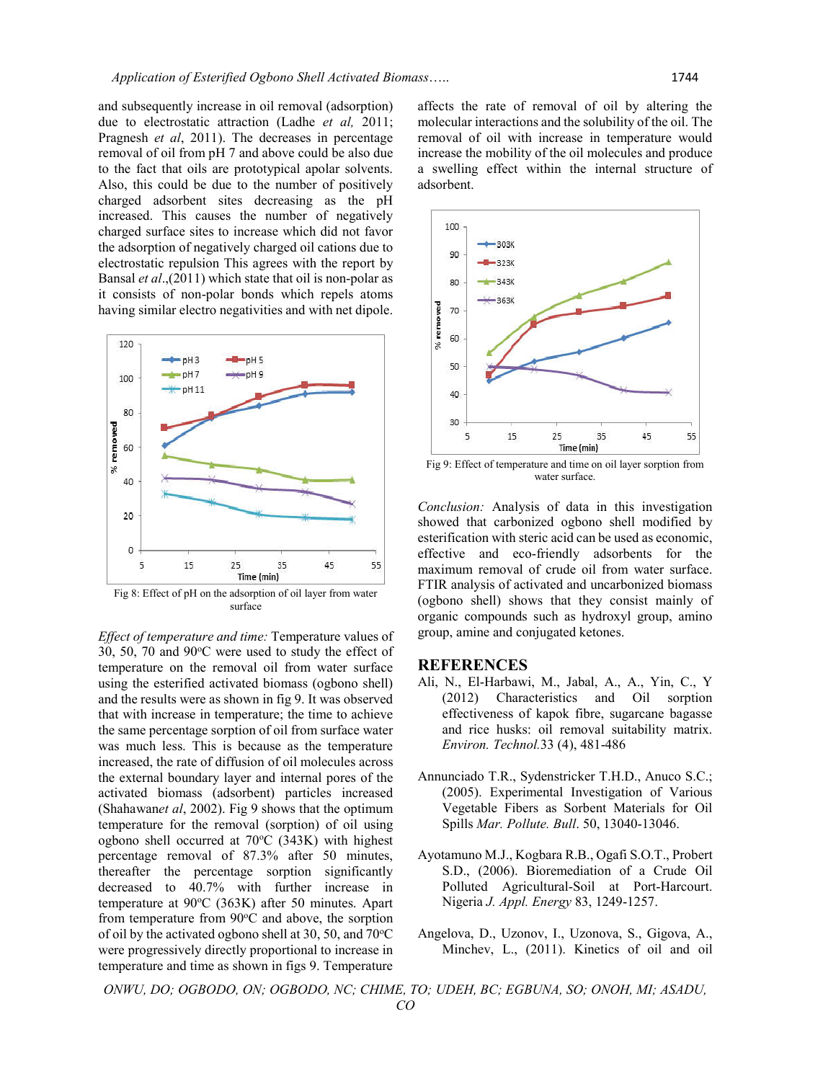and subsequently increase in oil removal (adsorption) due to electrostatic attraction (Ladhe *et al,* 2011; Pragnesh *et al*, 2011). The decreases in percentage removal of oil from pH 7 and above could be also due to the fact that oils are prototypical apolar solvents. Also, this could be due to the number of positively charged adsorbent sites decreasing as the pH increased. This causes the number of negatively charged surface sites to increase which did not favor the adsorption of negatively charged oil cations due to electrostatic repulsion This agrees with the report by Bansal *et al*.,(2011) which state that oil is non-polar as it consists of non-polar bonds which repels atoms having similar electro negativities and with net dipole.



Fig 8: Effect of pH on the adsorption of oil layer from water surface

*Effect of temperature and time:* Temperature values of 30, 50, 70 and 90°C were used to study the effect of temperature on the removal oil from water surface using the esterified activated biomass (ogbono shell) and the results were as shown in fig 9. It was observed that with increase in temperature; the time to achieve the same percentage sorption of oil from surface water was much less. This is because as the temperature increased, the rate of diffusion of oil molecules across the external boundary layer and internal pores of the activated biomass (adsorbent) particles increased (Shahawan*et al*, 2002). Fig 9 shows that the optimum temperature for the removal (sorption) of oil using ogbono shell occurred at 70°C (343K) with highest percentage removal of 87.3% after 50 minutes, thereafter the percentage sorption significantly decreased to 40.7% with further increase in temperature at 90°C (363K) after 50 minutes. Apart from temperature from  $90^{\circ}$ C and above, the sorption of oil by the activated ogbono shell at 30, 50, and 70°C were progressively directly proportional to increase in temperature and time as shown in figs 9. Temperature

affects the rate of removal of oil by altering the molecular interactions and the solubility of the oil. The removal of oil with increase in temperature would increase the mobility of the oil molecules and produce a swelling effect within the internal structure of adsorbent.



Fig 9: Effect of temperature and time on oil layer sorption from water surface.

*Conclusion:* Analysis of data in this investigation showed that carbonized ogbono shell modified by esterification with steric acid can be used as economic, effective and eco-friendly adsorbents for the maximum removal of crude oil from water surface. FTIR analysis of activated and uncarbonized biomass (ogbono shell) shows that they consist mainly of organic compounds such as hydroxyl group, amino group, amine and conjugated ketones.

#### **REFERENCES**

- Ali, N., El-Harbawi, M., Jabal, A., A., Yin, C., Y (2012) Characteristics and Oil sorption effectiveness of kapok fibre, sugarcane bagasse and rice husks: oil removal suitability matrix. *Environ. Technol.*33 (4), 481-486
- Annunciado T.R., Sydenstricker T.H.D., Anuco S.C.; (2005). Experimental Investigation of Various Vegetable Fibers as Sorbent Materials for Oil Spills *Mar. Pollute. Bull*. 50, 13040-13046.
- Ayotamuno M.J., Kogbara R.B., Ogafi S.O.T., Probert S.D., (2006). Bioremediation of a Crude Oil Polluted Agricultural-Soil at Port-Harcourt. Nigeria *J. Appl. Energy* 83, 1249-1257.
- Angelova, D., Uzonov, I., Uzonova, S., Gigova, A., Minchev, L., (2011). Kinetics of oil and oil

*ONWU, DO; OGBODO, ON; OGBODO, NC; CHIME, TO; UDEH, BC; EGBUNA, SO; ONOH, MI; ASADU, CO*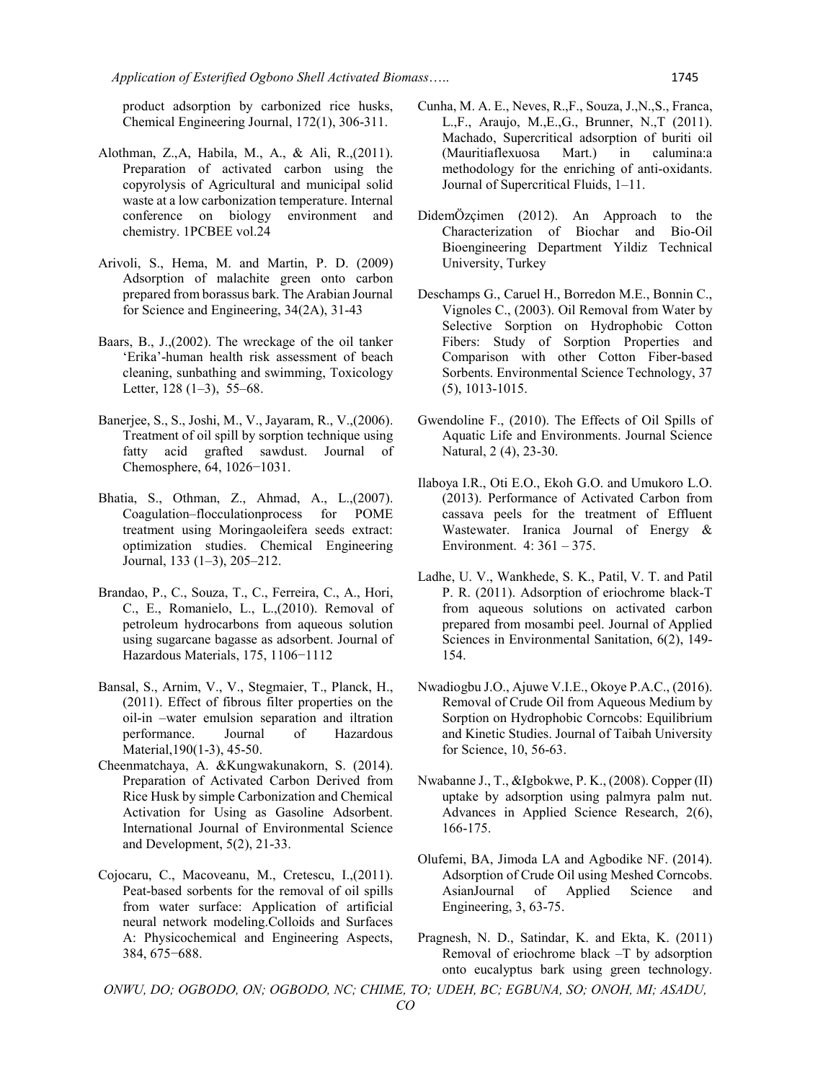product adsorption by carbonized rice husks, Chemical Engineering Journal, 172(1), 306-311.

- Alothman, Z.,A, Habila, M., A., & Ali, R.,(2011). Preparation of activated carbon using the copyrolysis of Agricultural and municipal solid waste at a low carbonization temperature. Internal conference on biology environment and chemistry. 1PCBEE vol.24
- Arivoli, S., Hema, M. and Martin, P. D. (2009) Adsorption of malachite green onto carbon prepared from borassus bark. The Arabian Journal for Science and Engineering, 34(2A), 31-43
- Baars, B., J.,(2002). The wreckage of the oil tanker 'Erika'-human health risk assessment of beach cleaning, sunbathing and swimming, Toxicology Letter,  $128(1-3)$ ,  $55-68$ .
- Banerjee, S., S., Joshi, M., V., Jayaram, R., V.,(2006). Treatment of oil spill by sorption technique using fatty acid grafted sawdust. Journal of Chemosphere, 64, 1026−1031.
- Bhatia, S., Othman, Z., Ahmad, A., L.,(2007). Coagulation–flocculationprocess for POME treatment using Moringaoleifera seeds extract: optimization studies. Chemical Engineering Journal, 133 (1–3), 205–212.
- Brandao, P., C., Souza, T., C., Ferreira, C., A., Hori, C., E., Romanielo, L., L.,(2010). Removal of petroleum hydrocarbons from aqueous solution using sugarcane bagasse as adsorbent. Journal of Hazardous Materials, 175, 1106−1112
- Bansal, S., Arnim, V., V., Stegmaier, T., Planck, H., (2011). Effect of fibrous filter properties on the oil-in –water emulsion separation and iltration performance. Journal of Hazardous Material,190(1-3), 45-50.
- Cheenmatchaya, A. &Kungwakunakorn, S. (2014). Preparation of Activated Carbon Derived from Rice Husk by simple Carbonization and Chemical Activation for Using as Gasoline Adsorbent. International Journal of Environmental Science and Development, 5(2), 21-33.
- Cojocaru, C., Macoveanu, M., Cretescu, I.,(2011). Peat-based sorbents for the removal of oil spills from water surface: Application of artificial neural network modeling.Colloids and Surfaces A: Physicochemical and Engineering Aspects, 384, 675−688.
- Cunha, M. A. E., Neves, R.,F., Souza, J.,N.,S., Franca, L.,F., Araujo, M.,E.,G., Brunner, N.,T (2011). Machado, Supercritical adsorption of buriti oil (Mauritiaflexuosa Mart.) in calumina:a methodology for the enriching of anti-oxidants. Journal of Supercritical Fluids, 1–11.
- DidemÖzçimen (2012). An Approach to the Characterization of Biochar and Bio-Oil Bioengineering Department Yildiz Technical University, Turkey
- Deschamps G., Caruel H., Borredon M.E., Bonnin C., Vignoles C., (2003). Oil Removal from Water by Selective Sorption on Hydrophobic Cotton Fibers: Study of Sorption Properties and Comparison with other Cotton Fiber-based Sorbents. Environmental Science Technology, 37 (5), 1013-1015.
- Gwendoline F., (2010). The Effects of Oil Spills of Aquatic Life and Environments. Journal Science Natural, 2 (4), 23-30.
- Ilaboya I.R., Oti E.O., Ekoh G.O. and Umukoro L.O. (2013). Performance of Activated Carbon from cassava peels for the treatment of Effluent Wastewater. Iranica Journal of Energy & Environment. 4: 361 – 375.
- Ladhe, U. V., Wankhede, S. K., Patil, V. T. and Patil P. R. (2011). Adsorption of eriochrome black-T from aqueous solutions on activated carbon prepared from mosambi peel. Journal of Applied Sciences in Environmental Sanitation, 6(2), 149- 154.
- Nwadiogbu J.O., Ajuwe V.I.E., Okoye P.A.C., (2016). Removal of Crude Oil from Aqueous Medium by Sorption on Hydrophobic Corncobs: Equilibrium and Kinetic Studies. Journal of Taibah University for Science, 10, 56-63.
- Nwabanne J., T., &Igbokwe, P. K., (2008). Copper (II) uptake by adsorption using palmyra palm nut. Advances in Applied Science Research, 2(6), 166-175.
- Olufemi, BA, Jimoda LA and Agbodike NF. (2014). Adsorption of Crude Oil using Meshed Corncobs. AsianJournal of Applied Science and Engineering, 3, 63-75.
- Pragnesh, N. D., Satindar, K. and Ekta, K. (2011) Removal of eriochrome black –T by adsorption onto eucalyptus bark using green technology.

*ONWU, DO; OGBODO, ON; OGBODO, NC; CHIME, TO; UDEH, BC; EGBUNA, SO; ONOH, MI; ASADU, CO*